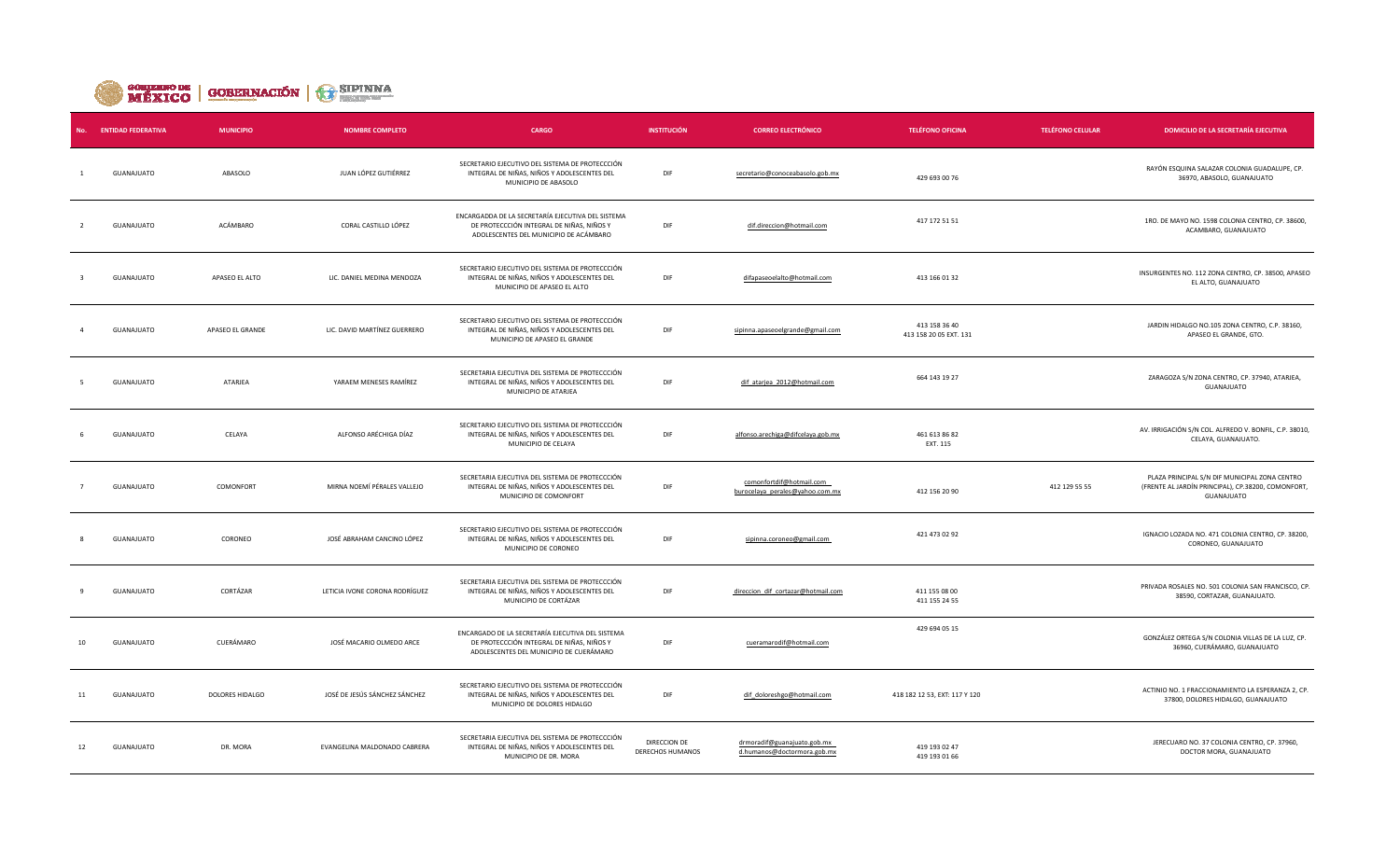

| No. | <b>ENTIDAD FEDERATIVA</b> | <b>MUNICIPIO</b> | <b>NOMBRE COMPLETO</b>         | <b>CARGO</b>                                                                                                                             | <b>INSTITUCIÓN</b>                      | <b>CORREO ELECTRÓNICO</b>                                   | <b>TELÉFONO OFICINA</b>                 | <b>TELÉFONO CELULAR</b> | <b>DOMICILIO DE LA SECRETARÍA EJECUTIVA</b>                                                                       |
|-----|---------------------------|------------------|--------------------------------|------------------------------------------------------------------------------------------------------------------------------------------|-----------------------------------------|-------------------------------------------------------------|-----------------------------------------|-------------------------|-------------------------------------------------------------------------------------------------------------------|
|     | <b>GUANAJUATO</b>         | ABASOLO          | JUAN LÓPEZ GUTIÉRREZ           | SECRETARIO EJECUTIVO DEL SISTEMA DE PROTECCCIÓN<br>INTEGRAL DE NIÑAS, NIÑOS Y ADOLESCENTES DEL<br>MUNICIPIO DE ABASOLO                   | DIF                                     | secretario@conoceabasolo.gob.mx                             | 429 693 00 76                           |                         | RAYÓN ESQUINA SALAZAR COLONIA GUADALUPE, CP.<br>36970, ABASOLO, GUANAJUATO                                        |
|     | GUANAJUATO                | ACÁMBARO         | CORAL CASTILLO LÓPEZ           | ENCARGADDA DE LA SECRETARÍA EJECUTIVA DEL SISTEMA<br>DE PROTECCCIÓN INTEGRAL DE NIÑAS, NIÑOS Y<br>ADOLESCENTES DEL MUNICIPIO DE ACÁMBARO | DIF                                     | dif.direccion@hotmail.com                                   | 417 172 51 51                           |                         | 1RO. DE MAYO NO. 1598 COLONIA CENTRO, CP. 38600,<br>ACAMBARO, GUANAJUATO                                          |
|     | GUANAJUATO                | APASEO EL ALTO   | LIC. DANIEL MEDINA MENDOZA     | SECRETARIO EJECUTIVO DEL SISTEMA DE PROTECCCIÓN<br>INTEGRAL DE NIÑAS, NIÑOS Y ADOLESCENTES DEL<br>MUNICIPIO DE APASEO EL ALTO            | DIF                                     | difapaseoelalto@hotmail.com                                 | 413 166 01 32                           |                         | INSURGENTES NO. 112 ZONA CENTRO, CP. 38500, APASEO<br>EL ALTO, GUANAJUATO                                         |
|     | GUANAJUATO                | APASEO EL GRANDE | LIC. DAVID MARTÍNEZ GUERRERO   | SECRETARIO EJECUTIVO DEL SISTEMA DE PROTECCCIÓN<br>INTEGRAL DE NIÑAS, NIÑOS Y ADOLESCENTES DEL<br>MUNICIPIO DE APASEO EL GRANDE          | DIF                                     | sipinna.apaseoelgrande@gmail.com                            | 413 158 36 40<br>413 158 20 05 EXT. 131 |                         | JARDIN HIDALGO NO.105 ZONA CENTRO, C.P. 38160,<br>APASEO EL GRANDE, GTO.                                          |
|     | GUANAJUATO                | ATARJEA          | YARAEM MENESES RAMÍREZ         | SECRETARIA EJECUTIVA DEL SISTEMA DE PROTECCCIÓN<br>INTEGRAL DE NIÑAS, NIÑOS Y ADOLESCENTES DEL<br>MUNICIPIO DE ATARJEA                   | DIF                                     | dif_atarjea_2012@hotmail.com                                | 664 143 19 27                           |                         | ZARAGOZA S/N ZONA CENTRO, CP. 37940, ATARJEA,<br>GUANAJUATO                                                       |
|     | GUANAJUATO                | CELAYA           | ALFONSO ARÉCHIGA DÍAZ          | SECRETARIO EJECUTIVO DEL SISTEMA DE PROTECCCIÓN<br>INTEGRAL DE NIÑAS, NIÑOS Y ADOLESCENTES DEL<br>MUNICIPIO DE CELAYA                    | DIF                                     | alfonso.arechiga@difcelaya.gob.mx                           | 461 613 86 82<br>EXT. 115               |                         | AV. IRRIGACIÓN S/N COL. ALFREDO V. BONFIL, C.P. 38010,<br>CELAYA, GUANAJUATO.                                     |
|     | GUANAJUATO                | COMONFORT        | MIRNA NOEMÍ PÉRALES VALLEJO    | SECRETARIA EJECUTIVA DEL SISTEMA DE PROTECCCIÓN<br>INTEGRAL DE NIÑAS, NIÑOS Y ADOLESCENTES DEL<br>MUNICIPIO DE COMONFORT                 | DIF                                     | comonfortdif@hotmail.com<br>burocelaya_perales@yahoo.com.mx | 412 156 20 90                           | 412 129 55 55           | PLAZA PRINCIPAL S/N DIF MUNICIPAL ZONA CENTRO<br>(FRENTE AL JARDÍN PRINCIPAL), CP.38200, COMONFORT,<br>GUANAJUATO |
|     | GUANAJUATO                | CORONEO          | JOSÉ ABRAHAM CANCINO LÓPEZ     | SECRETARIO EJECUTIVO DEL SISTEMA DE PROTECCCIÓN<br>INTEGRAL DE NIÑAS, NIÑOS Y ADOLESCENTES DEL<br>MUNICIPIO DE CORONEO                   | DIF                                     | sipinna.coroneo@gmail.com                                   | 421 473 02 92                           |                         | IGNACIO LOZADA NO. 471 COLONIA CENTRO, CP. 38200,<br>CORONEO, GUANAJUATO                                          |
|     | GUANAJUATO                | CORTÁZAR         | LETICIA IVONE CORONA RODRÍGUEZ | SECRETARIA EJECUTIVA DEL SISTEMA DE PROTECCCIÓN<br>INTEGRAL DE NIÑAS, NIÑOS Y ADOLESCENTES DEL<br>MUNICIPIO DE CORTÁZAR                  | DIF                                     | direccion_dif_cortazar@hotmail.com                          | 411 155 08 00<br>411 155 24 55          |                         | PRIVADA ROSALES NO. 501 COLONIA SAN FRANCISCO, CP.<br>38590, CORTAZAR, GUANAJUATO.                                |
| 10  | GUANAJUATO                | CUERÁMARO        | JOSÉ MACARIO OLMEDO ARCE       | ENCARGADO DE LA SECRETARÍA EJECUTIVA DEL SISTEMA<br>DE PROTECCCIÓN INTEGRAL DE NIÑAS, NIÑOS Y<br>ADOLESCENTES DEL MUNICIPIO DE CUERÁMARO | DIF                                     | cueramarodif@hotmail.com                                    | 429 694 05 15                           |                         | GONZÁLEZ ORTEGA S/N COLONIA VILLAS DE LA LUZ, CP.<br>36960, CUERÁMARO, GUANAJUATO                                 |
| 11  | GUANAJUATO                | DOLORES HIDALGO  | JOSÉ DE JESÚS SÁNCHEZ SÁNCHEZ  | SECRETARIO EJECUTIVO DEL SISTEMA DE PROTECCCIÓN<br>INTEGRAL DE NIÑAS, NIÑOS Y ADOLESCENTES DEL<br>MUNICIPIO DE DOLORES HIDALGO           | DIF                                     | dif_doloreshgo@hotmail.com                                  | 418 182 12 53, EXT: 117 Y 120           |                         | ACTINIO NO. 1 FRACCIONAMIENTO LA ESPERANZA 2, CP<br>37800, DOLORES HIDALGO, GUANAJUATO                            |
| 12  | GUANAJUATO                | DR. MORA         | EVANGELINA MALDONADO CABRERA   | SECRETARIA EJECUTIVA DEL SISTEMA DE PROTECCCIÓN<br>INTEGRAL DE NIÑAS, NIÑOS Y ADOLESCENTES DEL<br>MUNICIPIO DE DR. MORA                  | DIRECCION DE<br><b>DERECHOS HUMANOS</b> | drmoradif@guanajuato.gob.mx<br>d.humanos@doctormora.gob.mx  | 419 193 02 47<br>419 193 01 66          |                         | JERECUARO NO. 37 COLONIA CENTRO, CP. 37960,<br>DOCTOR MORA, GUANAJUATO                                            |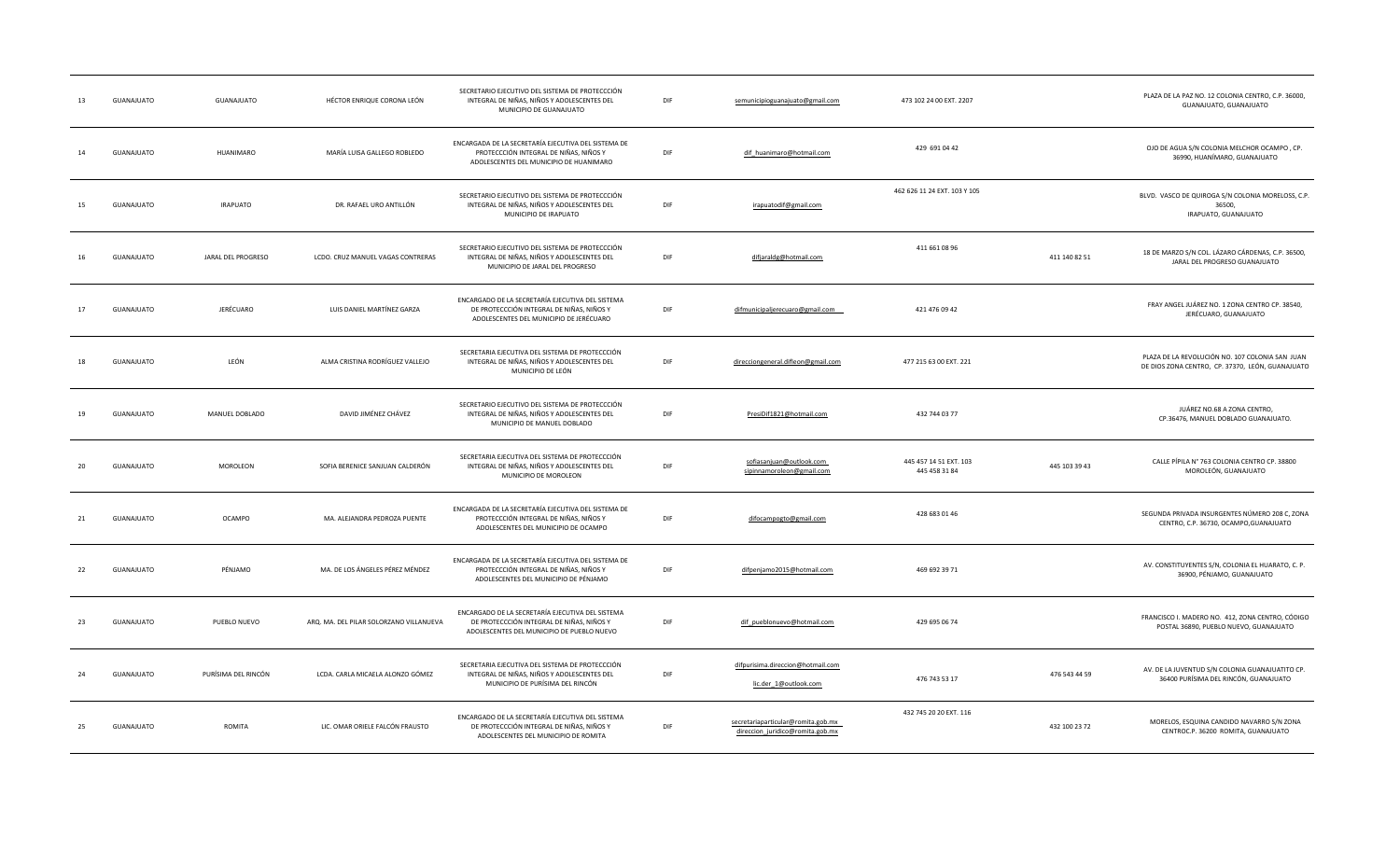| 13 | GUANAJUATO        | GUANAJUATO          | HÉCTOR ENRIQUE CORONA LEÓN              | SECRETARIO EJECUTIVO DEL SISTEMA DE PROTECCCIÓN<br>INTEGRAL DE NIÑAS, NIÑOS Y ADOLESCENTES DEL<br>MUNICIPIO DE GUANAJUATO                   | DIF | semunicipioguanajuato@gmail.com                                        | 473 102 24 00 EXT. 2207                 |               | PLAZA DE LA PAZ NO. 12 COLONIA CENTRO, C.P. 36000,<br>GUANAJUATO, GUANAJUATO                        |
|----|-------------------|---------------------|-----------------------------------------|---------------------------------------------------------------------------------------------------------------------------------------------|-----|------------------------------------------------------------------------|-----------------------------------------|---------------|-----------------------------------------------------------------------------------------------------|
| 14 | GUANAJUATO        | HUANIMARO           | MARÍA LUISA GALLEGO ROBLEDO             | ENCARGADA DE LA SECRETARÍA EJECUTIVA DEL SISTEMA DE<br>PROTECCCIÓN INTEGRAL DE NIÑAS, NIÑOS Y<br>ADOLESCENTES DEL MUNICIPIO DE HUANIMARO    | DIF | dif_huanimaro@hotmail.com                                              | 429 691 04 42                           |               | OJO DE AGUA S/N COLONIA MELCHOR OCAMPO, CP.<br>36990, HUANÍMARO, GUANAJUATO                         |
| 15 | GUANAJUATO        | <b>IRAPUATO</b>     | DR. RAFAEL URO ANTILLÓN                 | SECRETARIO EJECUTIVO DEL SISTEMA DE PROTECCCIÓN<br>INTEGRAL DE NIÑAS, NIÑOS Y ADOLESCENTES DEL<br>MUNICIPIO DE IRAPUATO                     | DIF | irapuatodif@gmail.com                                                  | 462 626 11 24 EXT. 103 Y 105            |               | BLVD. VASCO DE QUIROGA S/N COLONIA MORELOSS, C.P<br>36500,<br>IRAPUATO, GUANAJUATO                  |
|    | GUANAJUATO        | JARAL DEL PROGRESO  | LCDO. CRUZ MANUEL VAGAS CONTRERAS       | SECRETARIO EJECUTIVO DEL SISTEMA DE PROTECCCIÓN<br>INTEGRAL DE NIÑAS, NIÑOS Y ADOLESCENTES DEL<br>MUNICIPIO DE JARAL DEL PROGRESO           | DIF | difjaraldg@hotmail.com                                                 | 411 661 08 96                           | 411 140 82 51 | 18 DE MARZO S/N COL. LÁZARO CÁRDENAS, C.P. 36500,<br>JARAL DEL PROGRESO GUANAJUATO                  |
| 17 | GUANAJUATO        | JERÉCUARO           | LUIS DANIEL MARTÍNEZ GARZA              | ENCARGADO DE LA SECRETARÍA EJECUTIVA DEL SISTEMA<br>DE PROTECCCIÓN INTEGRAL DE NIÑAS, NIÑOS Y<br>ADOLESCENTES DEL MUNICIPIO DE JERÉCUARO    | DIF | difmunicipaljerecuaro@gmail.com                                        | 421 476 09 42                           |               | FRAY ANGEL JUÁREZ NO. 1 ZONA CENTRO CP. 38540,<br>JERÉCUARO, GUANAJUATO                             |
| 18 | GUANAJUATO        | LEÓN                | ALMA CRISTINA RODRÍGUEZ VALLEJO         | SECRETARIA EJECUTIVA DEL SISTEMA DE PROTECCCIÓN<br>INTEGRAL DE NIÑAS, NIÑOS Y ADOLESCENTES DEL<br>MUNICIPIO DE LEÓN                         | DIF | direcciongeneral.difleon@gmail.com                                     | 477 215 63 00 EXT. 221                  |               | PLAZA DE LA REVOLUCIÓN NO. 107 COLONIA SAN JUAN<br>DE DIOS ZONA CENTRO, CP. 37370, LEÓN, GUANAJUATO |
| 19 | GUANAJUATO        | MANUEL DOBLADO      | DAVID JIMÉNEZ CHÁVEZ                    | SECRETARIO EJECUTIVO DEL SISTEMA DE PROTECCCIÓN<br>INTEGRAL DE NIÑAS, NIÑOS Y ADOLESCENTES DEL<br>MUNICIPIO DE MANUEL DOBLADO               | DIF | PresiDif1821@hotmail.com                                               | 432 744 03 77                           |               | JUÁREZ NO.68 A ZONA CENTRO,<br>CP.36476, MANUEL DOBLADO GUANAJUATO.                                 |
| 20 | GUANAJUATO        | MOROLEON            | SOFIA BERENICE SANJUAN CALDERÓN         | SECRETARIA EJECUTIVA DEL SISTEMA DE PROTECCCIÓN<br>INTEGRAL DE NIÑAS, NIÑOS Y ADOLESCENTES DEL<br>MUNICIPIO DE MOROLEON                     | DIF | sofiasanjuan@outlook.com<br>sipinnamoroleon@gmail.com                  | 445 457 14 51 EXT. 103<br>445 458 31 84 | 445 103 39 43 | CALLE PÍPILA Nº 763 COLONIA CENTRO CP. 38800<br>MOROLEÓN, GUANAJUATO                                |
| 21 | GUANAJUATO        | <b>OCAMPO</b>       | MA. ALEJANDRA PEDROZA PUENTE            | ENCARGADA DE LA SECRETARÍA EJECUTIVA DEL SISTEMA DE<br>PROTECCCIÓN INTEGRAL DE NIÑAS, NIÑOS Y<br>ADOLESCENTES DEL MUNICIPIO DE OCAMPO       | DIF | difocampogto@gmail.com                                                 | 428 683 01 46                           |               | SEGUNDA PRIVADA INSURGENTES NÚMERO 208 C, ZONA<br>CENTRO, C.P. 36730, OCAMPO, GUANAJUATO            |
| 22 | GUANAJUATO        | PÉNJAMO             | MA. DE LOS ÁNGELES PÉREZ MÉNDEZ         | ENCARGADA DE LA SECRETARÍA EJECUTIVA DEL SISTEMA DE<br>PROTECCCIÓN INTEGRAL DE NIÑAS, NIÑOS Y<br>ADOLESCENTES DEL MUNICIPIO DE PÉNJAMO      | DIF | difpenjamo2015@hotmail.com                                             | 469 692 39 71                           |               | AV. CONSTITUYENTES S/N, COLONIA EL HUARATO, C. P.<br>36900, PÉNJAMO, GUANAJUATO                     |
| 23 | GUANAJUATO        | PUEBLO NUEVO        | ARQ. MA. DEL PILAR SOLORZANO VILLANUEVA | ENCARGADO DE LA SECRETARÍA EJECUTIVA DEL SISTEMA<br>DE PROTECCCIÓN INTEGRAL DE NIÑAS, NIÑOS Y<br>ADOLESCENTES DEL MUNICIPIO DE PUEBLO NUEVO | DIF | dif_pueblonuevo@hotmail.com                                            | 429 695 06 74                           |               | FRANCISCO I. MADERO NO. 412, ZONA CENTRO, CÓDIGO<br>POSTAL 36890, PUEBLO NUEVO, GUANAJUATO          |
| 24 | GUANAJUATO        | PURÍSIMA DEL RINCÓN | LCDA. CARLA MICAELA ALONZO GÓMEZ        | SECRETARIA EJECUTIVA DEL SISTEMA DE PROTECCCIÓN<br>INTEGRAL DE NIÑAS, NIÑOS Y ADOLESCENTES DEL<br>MUNICIPIO DE PURÍSIMA DEL RINCÓN          | DIF | difpurisima.direccion@hotmail.com<br>lic.der_1@outlook.com             | 476 743 53 17                           | 476 543 44 59 | AV. DE LA JUVENTUD S/N COLONIA GUANAJUATITO CP.<br>36400 PURÍSIMA DEL RINCÓN, GUANAJUATO            |
| 25 | <b>GUANAJUATO</b> | <b>ROMITA</b>       | LIC. OMAR ORIELE FALCÓN FRAUSTO         | ENCARGADO DE LA SECRETARÍA EJECUTIVA DEL SISTEMA<br>DE PROTECCCIÓN INTEGRAL DE NIÑAS, NIÑOS Y<br>ADOLESCENTES DEL MUNICIPIO DE ROMITA       | DIF | secretariaparticular@romita.gob.mx<br>direccion_juridico@romita.gob.mx | 432 745 20 20 EXT. 116                  | 432 100 23 72 | MORELOS, ESQUINA CANDIDO NAVARRO S/N ZONA<br>CENTROC.P. 36200 ROMITA, GUANAJUATO                    |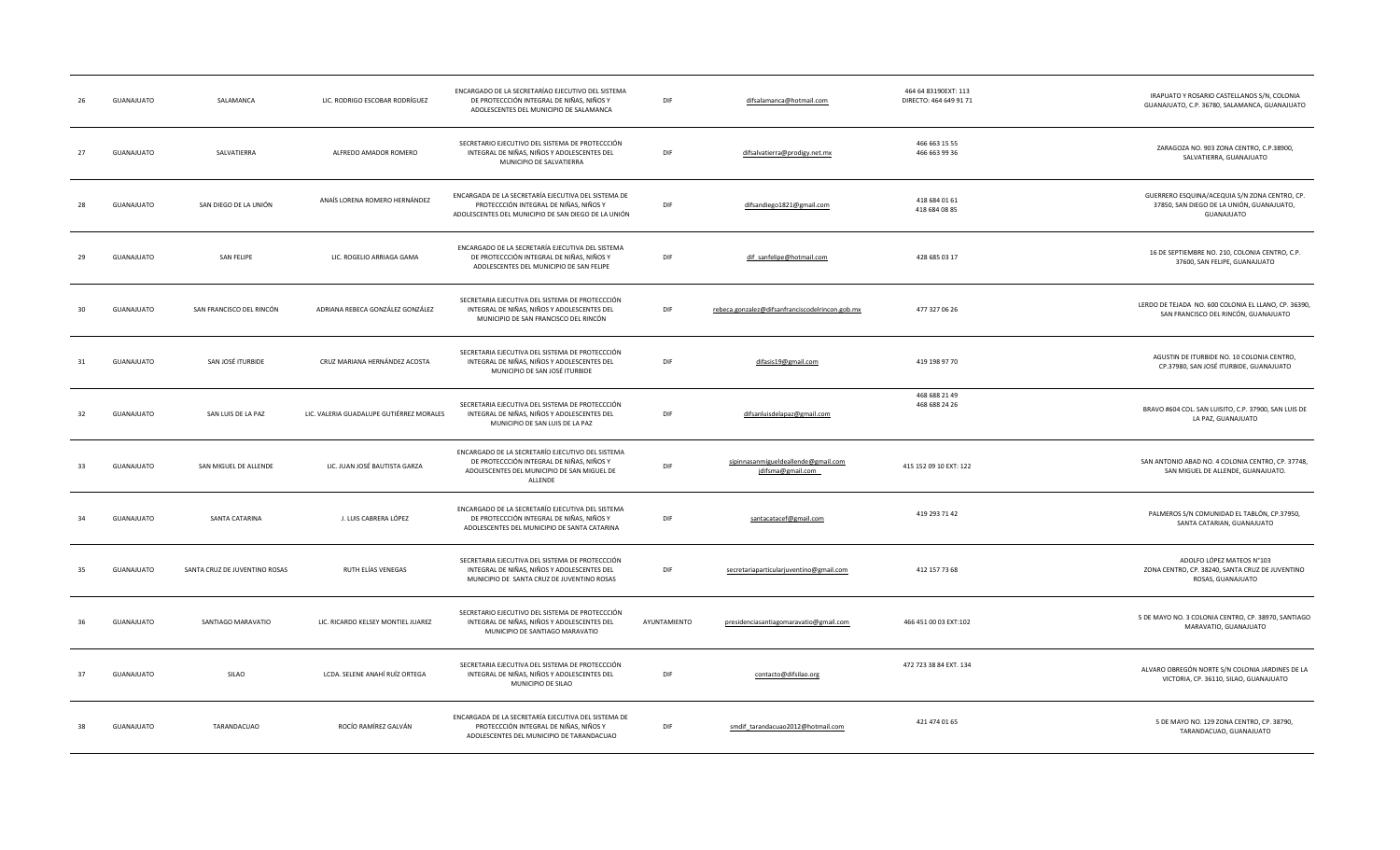|     | GUANAJUATO | SALAMANCA                     | LIC. RODRIGO ESCOBAR RODRÍGUEZ           | ENCARGADO DE LA SECRETARÍAO EJECUTIVO DEL SISTEMA<br>DE PROTECCCIÓN INTEGRAL DE NIÑAS, NIÑOS Y<br>ADOLESCENTES DEL MUNICIPIO DE SALAMANCA               | DIF          | difsalamanca@hotmail.com                                 | 464 64 83190EXT: 113<br>DIRECTO: 464 649 91 71 | IRAPUATO Y ROSARIO CASTELLANOS S/N, COLONIA<br>GUANAJUATO, C.P. 36780, SALAMANCA, GUANAJUATO             |
|-----|------------|-------------------------------|------------------------------------------|---------------------------------------------------------------------------------------------------------------------------------------------------------|--------------|----------------------------------------------------------|------------------------------------------------|----------------------------------------------------------------------------------------------------------|
| 27  | GUANAJUATO | SALVATIERRA                   | ALFREDO AMADOR ROMERO                    | SECRETARIO EJECUTIVO DEL SISTEMA DE PROTECCCIÓN<br>INTEGRAL DE NIÑAS, NIÑOS Y ADOLESCENTES DEL<br>MUNICIPIO DE SALVATIERRA                              | DIF          | difsalvatierra@prodigy.net.mx                            | 466 663 15 55<br>466 663 99 36                 | ZARAGOZA NO. 903 ZONA CENTRO, C.P.38900,<br>SALVATIERRA, GUANAJUATO                                      |
|     | GUANAJUATO | SAN DIEGO DE LA UNIÓN         | ANAÍS LORENA ROMERO HERNÁNDEZ            | ENCARGADA DE LA SECRETARÍA EJECUTIVA DEL SISTEMA DE<br>PROTECCCIÓN INTEGRAL DE NIÑAS, NIÑOS Y<br>ADOLESCENTES DEL MUNICIPIO DE SAN DIEGO DE LA UNIÓN    | DIF          | difsandiego1821@gmail.com                                | 418 684 01 61<br>418 684 08 85                 | GUERRERO ESQUINA/ACEQUIA S/N ZONA CENTRO, CP.<br>37850, SAN DIEGO DE LA UNIÓN, GUANAJUATO,<br>GUANAJUATO |
| 29  | GUANAJUATO | <b>SAN FELIPE</b>             | LIC. ROGELIO ARRIAGA GAMA                | ENCARGADO DE LA SECRETARÍA EJECUTIVA DEL SISTEMA<br>DE PROTECCCIÓN INTEGRAL DE NIÑAS, NIÑOS Y<br>ADOLESCENTES DEL MUNICIPIO DE SAN FELIPE               | DIF          | dif_sanfelipe@hotmail.com                                | 428 685 03 17                                  | 16 DE SEPTIEMBRE NO. 210, COLONIA CENTRO, C.P.<br>37600, SAN FELIPE, GUANAJUATO                          |
| 30  | GUANAJUATO | SAN FRANCISCO DEL RINCÓN      | ADRIANA REBECA GONZÁLEZ GONZÁLEZ         | SECRETARIA EJECUTIVA DEL SISTEMA DE PROTECCCIÓN<br>INTEGRAL DE NIÑAS, NIÑOS Y ADOLESCENTES DEL<br>MUNICIPIO DE SAN FRANCISCO DEL RINCÓN                 | DIF          | rebeca.gonzalez@difsanfranciscodelrincon.gob.mx          | 477 327 06 26                                  | LERDO DE TEJADA NO. 600 COLONIA EL LLANO, CP. 36390,<br>SAN FRANCISCO DEL RINCÓN, GUANAJUATO             |
| -31 | GUANAJUATO | SAN JOSÉ ITURBIDE             | CRUZ MARIANA HERNÁNDEZ ACOSTA            | SECRETARIA EJECUTIVA DEL SISTEMA DE PROTECCCIÓN<br>INTEGRAL DE NIÑAS, NIÑOS Y ADOLESCENTES DEL<br>MUNICIPIO DE SAN JOSÉ ITURBIDE                        | DIF          | difasis19@gmail.com                                      | 419 198 97 70                                  | AGUSTIN DE ITURBIDE NO. 10 COLONIA CENTRO,<br>CP.37980, SAN JOSÉ ITURBIDE, GUANAJUATO                    |
| 32  | GUANAJUATO | SAN LUIS DE LA PAZ            | LIC. VALERIA GUADALUPE GUTIÉRREZ MORALES | SECRETARIA EJECUTIVA DEL SISTEMA DE PROTECCCIÓN<br>INTEGRAL DE NIÑAS, NIÑOS Y ADOLESCENTES DEL<br>MUNICIPIO DE SAN LUIS DE LA PAZ                       | DIF          | difsanluisdelapaz@gmail.com                              | 468 688 21 49<br>468 688 24 26                 | BRAVO #604 COL. SAN LUISITO, C.P. 37900, SAN LUIS DE<br>LA PAZ, GUANAJUATO                               |
| 33  | GUANAJUATO | SAN MIGUEL DE ALLENDE         | LIC. JUAN JOSÉ BAUTISTA GARZA            | ENCARGADO DE LA SECRETARÍO EJECUTIVO DEL SISTEMA<br>DE PROTECCCIÓN INTEGRAL DE NIÑAS, NIÑOS Y<br>ADOLESCENTES DEL MUNICIPIO DE SAN MIGUEL DE<br>ALLENDE | DIF          | sipinnasanmigueldeallende@gmail.com<br>jdifsma@gmail.com | 415 152 09 10 EXT: 122                         | SAN ANTONIO ABAD NO. 4 COLONIA CENTRO, CP. 37748,<br>SAN MIGUEL DE ALLENDE, GUANAJUATO.                  |
|     | GUANAJUATO | SANTA CATARINA                | J. LUIS CABRERA LÓPEZ                    | ENCARGADO DE LA SECRETARÍO EJECUTIVA DEL SISTEMA<br>DE PROTECCCIÓN INTEGRAL DE NIÑAS, NIÑOS Y<br>ADOLESCENTES DEL MUNICIPIO DE SANTA CATARINA           | DIF          | santacatacef@gmail.com                                   | 419 293 71 42                                  | PALMEROS S/N COMUNIDAD EL TABLÓN, CP.37950,<br>SANTA CATARIAN, GUANAJUATO                                |
|     | GUANAJUATO | SANTA CRUZ DE JUVENTINO ROSAS | RUTH ELÍAS VENEGAS                       | SECRETARIA EJECUTIVA DEL SISTEMA DE PROTECCCIÓN<br>INTEGRAL DE NIÑAS, NIÑOS Y ADOLESCENTES DEL<br>MUNICIPIO DE SANTA CRUZ DE JUVENTINO ROSAS            | DIF          | secretariaparticularjuventino@gmail.com                  | 412 157 73 68                                  | ADOLFO LÓPEZ MATEOS N°103<br>ZONA CENTRO, CP. 38240, SANTA CRUZ DE JUVENTINO<br>ROSAS, GUANAJUATO        |
|     | GUANAJUATO | SANTIAGO MARAVATIO            | LIC. RICARDO KELSEY MONTIEL JUAREZ       | SECRETARIO EJECUTIVO DEL SISTEMA DE PROTECCCIÓN<br>INTEGRAL DE NIÑAS, NIÑOS Y ADOLESCENTES DEL<br>MUNICIPIO DE SANTIAGO MARAVATIO                       | AYUNTAMIENTO | presidenciasantiagomaravatio@gmail.com                   | 466 451 00 03 EXT:102                          | 5 DE MAYO NO. 3 COLONIA CENTRO, CP. 38970, SANTIAGO<br>MARAVATIO, GUANAJUATO                             |
| 37  | GUANAJUATO | SILAO                         | LCDA. SELENE ANAHÍ RUÍZ ORTEGA           | SECRETARIA EJECUTIVA DEL SISTEMA DE PROTECCCIÓN<br>INTEGRAL DE NIÑAS, NIÑOS Y ADOLESCENTES DEL<br>MUNICIPIO DE SILAO                                    | DIF          | contacto@difsilao.org                                    | 472 723 38 84 EXT. 134                         | ALVARO OBREGÓN NORTE S/N COLONIA JARDINES DE LA<br>VICTORIA, CP. 36110, SILAO, GUANAJUATO                |
| -38 | GUANAJUATO | TARANDACUAO                   | ROCÍO RAMÍREZ GALVÁN                     | ENCARGADA DE LA SECRETARÍA EJECUTIVA DEL SISTEMA DE<br>PROTECCCIÓN INTEGRAL DE NIÑAS, NIÑOS Y<br>ADOLESCENTES DEL MUNICIPIO DE TARANDACUAO              | DIF          | smdif_tarandacuao2012@hotmail.com                        | 421 474 01 65                                  | 5 DE MAYO NO. 129 ZONA CENTRO, CP. 38790,<br>TARANDACUAO, GUANAJUATO                                     |